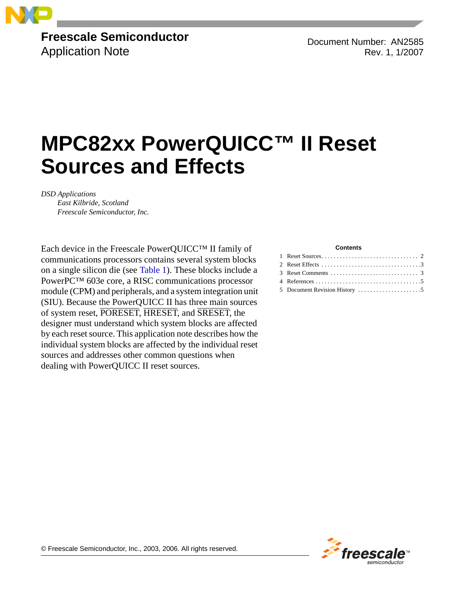

# **Freescale Semiconductor**

Application Note

Document Number: AN2585 Rev. 1, 1/2007

# **MPC82xx PowerQUICC™ II Reset Sources and Effects**

*DSD Applications East Kilbride, Scotland Freescale Semiconductor, Inc.*

Each device in the Freescale PowerQUICC™ II family of communications processors contains several system blocks on a single silicon die (see Table 1). These blocks include a PowerPC™ 603e core, a RISC communications processor module (CPM) and peripherals, and a system integration unit (SIU). Because the PowerQUICC II has three main sources of system reset, PORESET, HRESET, and SRESET, the designer must understand which system blocks are affected by each reset source. This application note describes how the individual system blocks are affected by the individual reset sources and addresses other common questions when dealing with PowerQUICC II reset sources.

#### **Contents**



© Freescale Semiconductor, Inc., 2003, 2006. All rights reserved.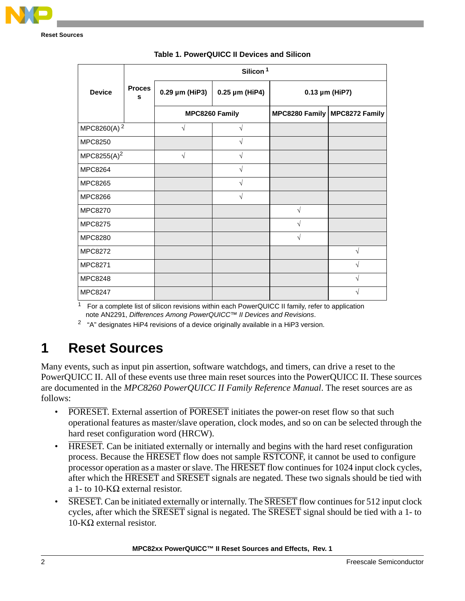|                         | Silicon <sup>1</sup> |                |                |                |                                 |  |
|-------------------------|----------------------|----------------|----------------|----------------|---------------------------------|--|
| <b>Device</b>           | <b>Proces</b><br>s   | 0.29 µm (HiP3) | 0.25 µm (HiP4) | 0.13 µm (HiP7) |                                 |  |
|                         |                      | MPC8260 Family |                |                | MPC8280 Family   MPC8272 Family |  |
| MPC8260(A) <sup>2</sup> |                      | $\sqrt{ }$     | $\sqrt{}$      |                |                                 |  |
| MPC8250                 |                      |                | V              |                |                                 |  |
| MPC8255(A) <sup>2</sup> |                      | $\sqrt{}$      | $\sqrt{}$      |                |                                 |  |
| <b>MPC8264</b>          |                      |                | $\sqrt{}$      |                |                                 |  |
| <b>MPC8265</b>          |                      |                | V              |                |                                 |  |
| MPC8266                 |                      |                | $\sqrt{}$      |                |                                 |  |
| <b>MPC8270</b>          |                      |                |                | $\sqrt{ }$     |                                 |  |
| <b>MPC8275</b>          |                      |                |                | $\sqrt{}$      |                                 |  |
| <b>MPC8280</b>          |                      |                |                | $\sqrt{ }$     |                                 |  |
| <b>MPC8272</b>          |                      |                |                |                | $\sqrt{ }$                      |  |
| <b>MPC8271</b>          |                      |                |                |                | V                               |  |
| <b>MPC8248</b>          |                      |                |                |                | V                               |  |
| MPC8247                 |                      |                |                |                | $\sqrt{}$                       |  |

### **Table 1. PowerQUICC II Devices and Silicon**

 $<sup>1</sup>$  For a complete list of silicon revisions within each PowerQUICC II family, refer to application</sup> note AN2291, *Differences Among PowerQUICC™ II Devices and Revisions*.

 $2$  "A" designates HiP4 revisions of a device originally available in a HiP3 version.

# **1 Reset Sources**

Many events, such as input pin assertion, software watchdogs, and timers, can drive a reset to the PowerQUICC II. All of these events use three main reset sources into the PowerQUICC II. These sources are documented in the *MPC8260 PowerQUICC II Family Reference Manual*. The reset sources are as follows:

- PORESET. External assertion of PORESET initiates the power-on reset flow so that such operational features as master/slave operation, clock modes, and so on can be selected through the hard reset configuration word (HRCW).
- HRESET. Can be initiated externally or internally and begins with the hard reset configuration process. Because the **HRESET** flow does not sample **RSTCONF**, it cannot be used to configure processor operation as a master or slave. The  $\overline{\text{HRESET}}$  flow continues for 1024 input clock cycles, after which the HRESET and SRESET signals are negated. These two signals should be tied with a 1- to 10-KΩ external resistor.
- **SRESET.** Can be initiated externally or internally. The **SRESET** flow continues for 512 input clock cycles, after which the **SRESET** signal is negated. The **SRESET** signal should be tied with a 1- to 10-KΩ external resistor.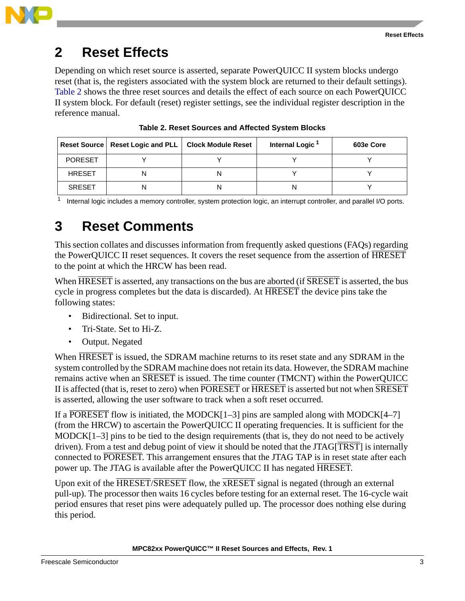

# **2 Reset Effects**

Depending on which reset source is asserted, separate PowerQUICC II system blocks undergo reset (that is, the registers associated with the system block are returned to their default settings). Table 2 shows the three reset sources and details the effect of each source on each PowerQUICC II system block. For default (reset) register settings, see the individual register description in the reference manual.

|                | Reset Source   Reset Logic and PLL   Clock Module Reset | Internal Logic <sup>1</sup> | 603e Core |
|----------------|---------------------------------------------------------|-----------------------------|-----------|
| <b>PORESET</b> |                                                         |                             |           |
| <b>HRESET</b>  |                                                         |                             |           |
| <b>SRESET</b>  |                                                         |                             |           |

| Table 2. Reset Sources and Affected System Blocks |  |  |  |
|---------------------------------------------------|--|--|--|
|---------------------------------------------------|--|--|--|

Internal logic includes a memory controller, system protection logic, an interrupt controller, and parallel I/O ports.

# <span id="page-2-0"></span>**3 Reset Comments**

This section collates and discusses information from frequently asked questions (FAQs) regarding the PowerQUICC II reset sequences. It covers the reset sequence from the assertion of HRESET to the point at which the HRCW has been read.

When  $\overline{HRESET}$  is asserted, any transactions on the bus are aborted (if SRESET is asserted, the bus cycle in progress completes but the data is discarded). At HRESET the device pins take the following states:

- Bidirectional. Set to input.
- Tri-State. Set to Hi-Z.
- Output. Negated

When HRESET is issued, the SDRAM machine returns to its reset state and any SDRAM in the system controlled by the SDRAM machine does not retain its data. However, the SDRAM machine remains active when an SRESET is issued. The time counter (TMCNT) within the PowerQUICC II is affected (that is, reset to zero) when PORESET or HRESET is asserted but not when SRESET is asserted, allowing the user software to track when a soft reset occurred.

If a PORESET flow is initiated, the MODCK $[1-3]$  pins are sampled along with MODCK $[4-7]$ (from the HRCW) to ascertain the PowerQUICC II operating frequencies. It is sufficient for the MODCK[1–3] pins to be tied to the design requirements (that is, they do not need to be actively driven). From a test and debug point of view it should be noted that the JTAG[TRST] is internally connected to PORESET. This arrangement ensures that the JTAG TAP is in reset state after each power up. The JTAG is available after the PowerQUICC II has negated HRESET.

Upon exit of the HRESET/SRESET flow, the **xRESET** signal is negated (through an external pull-up). The processor then waits 16 cycles before testing for an external reset. The 16-cycle wait period ensures that reset pins were adequately pulled up. The processor does nothing else during this period.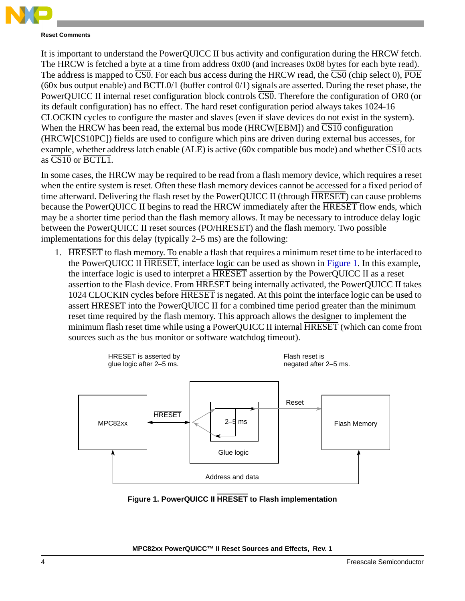

### **Reset Comments**

It is important to understand the PowerQUICC II bus activity and configuration during the HRCW fetch. The HRCW is fetched a byte at a time from address 0x00 (and increases 0x08 bytes for each byte read). The address is mapped to  $\overline{CS0}$ . For each bus access during the HRCW read, the  $\overline{CS0}$  (chip select 0),  $\overline{POE}$ (60x bus output enable) and BCTL0/1 (buffer control 0/1) signals are asserted. During the reset phase, the PowerQUICC II internal reset configuration block controls  $\overline{CS0}$ . Therefore the configuration of OR0 (or its default configuration) has no effect. The hard reset configuration period always takes 1024-16 CLOCKIN cycles to configure the master and slaves (even if slave devices do not exist in the system). When the HRCW has been read, the external bus mode (HRCW[EBM]) and CS10 configuration (HRCW[CS10PC]) fields are used to configure which pins are driven during external bus accesses, for example, whether address latch enable (ALE) is active (60x compatible bus mode) and whether CS10 acts as CS10 or BCTL1.

In some cases, the HRCW may be required to be read from a flash memory device, which requires a reset when the entire system is reset. Often these flash memory devices cannot be accessed for a fixed period of time afterward. Delivering the flash reset by the PowerQUICC II (through  $\overline{HRESET}$ ) can cause problems because the PowerQUICC II begins to read the HRCW immediately after the HRESET flow ends, which may be a shorter time period than the flash memory allows. It may be necessary to introduce delay logic between the PowerQUICC II reset sources (PO/HRESET) and the flash memory. Two possible implementations for this delay (typically 2–5 ms) are the following:

1. HRESET to flash memory. To enable a flash that requires a minimum reset time to be interfaced to the PowerQUICC II HRESET, interface logic can be used as shown in Figure 1. In this example, the interface logic is used to interpret a HRESET assertion by the PowerQUICC II as a reset assertion to the Flash device. From HRESET being internally activated, the PowerQUICC II takes 1024 CLOCKIN cycles before HRESET is negated. At this point the interface logic can be used to assert HRESET into the PowerQUICC II for a combined time period greater than the minimum reset time required by the flash memory. This approach allows the designer to implement the minimum flash reset time while using a PowerQUICC II internal HRESET (which can come from sources such as the bus monitor or software watchdog timeout).



**Figure 1. PowerQUICC II HRESET to Flash implementation**

**MPC82xx PowerQUICC™ II Reset Sources and Effects, Rev. 1**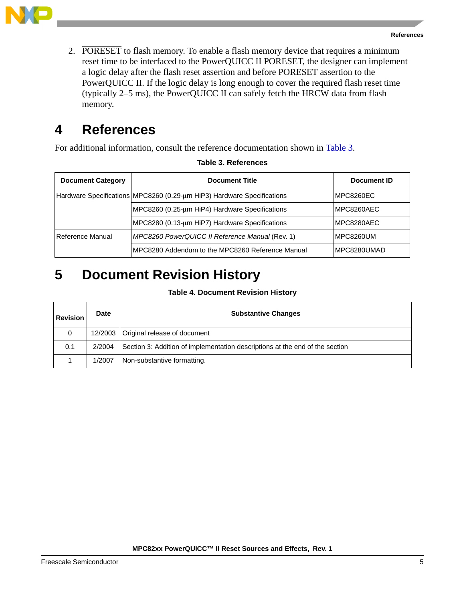

2. PORESET to flash memory. To enable a flash memory device that requires a minimum reset time to be interfaced to the PowerQUICC II PORESET, the designer can implement a logic delay after the flash reset assertion and before PORESET assertion to the PowerQUICC II. If the logic delay is long enough to cover the required flash reset time (typically 2–5 ms), the PowerQUICC II can safely fetch the HRCW data from flash memory.

# **4 References**

For additional information, consult the reference documentation shown in Table 3.

## **Table 3. References**

| <b>Document Category</b> | <b>Document Title</b>                                                  | Document ID |
|--------------------------|------------------------------------------------------------------------|-------------|
|                          | Hardware Specifications MPC8260 (0.29-um HiP3) Hardware Specifications | IMPC8260EC  |
|                          | MPC8260 (0.25-µm HiP4) Hardware Specifications                         | MPC8260AEC  |
|                          | MPC8280 (0.13-µm HiP7) Hardware Specifications                         | MPC8280AEC  |
| l Reference Manual       | MPC8260 PowerQUICC II Reference Manual (Rev. 1)                        | MPC8260UM   |
|                          | IMPC8280 Addendum to the MPC8260 Reference Manual                      | MPC8280UMAD |

# **5 Document Revision History**

## **Table 4. Document Revision History**

| <b>Revision</b> | <b>Date</b> | <b>Substantive Changes</b>                                                   |
|-----------------|-------------|------------------------------------------------------------------------------|
| 0               |             | 12/2003   Original release of document                                       |
| 0.1             | 2/2004      | Section 3: Addition of implementation descriptions at the end of the section |
|                 | 1/2007      | Non-substantive formatting.                                                  |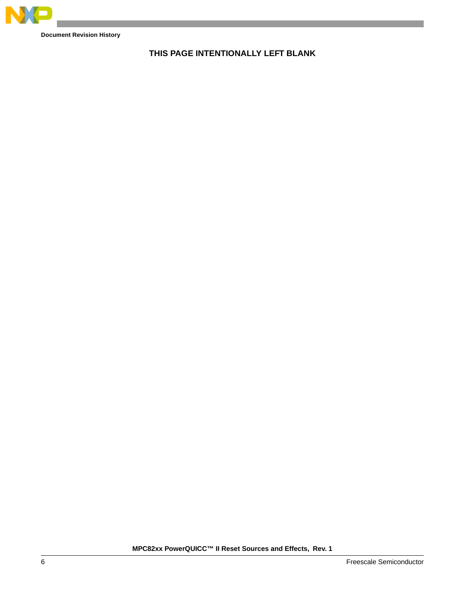

**Document Revision History**

# **THIS PAGE INTENTIONALLY LEFT BLANK**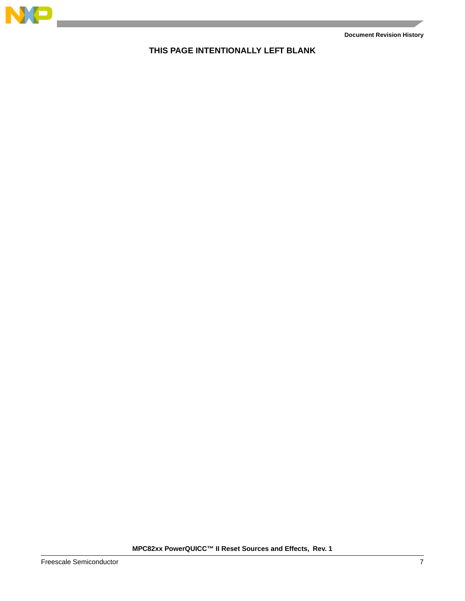

 $\overline{\phantom{a}}$ 

**Document Revision History**

# **THIS PAGE INTENTIONALLY LEFT BLANK**